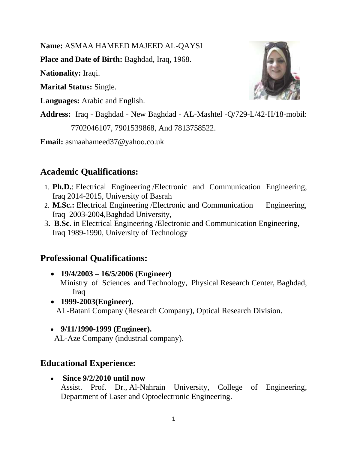**Name:** ASMAA HAMEED MAJEED AL-QAYSI

**Place and Date of Birth:** Baghdad, Iraq, 1968.

**Nationality:** Iraqi.

**Marital Status:** Single.

**Languages:** Arabic and English.

**Address:** Iraq - Baghdad - New Baghdad - AL-Mashtel -Q/729-L/42-H/18-mobil: 7702046107, 7901539868, And 7813758522.

**Email:** asmaahameed37@yahoo.co.uk

# **Academic Qualifications:**

- 1. **Ph.D.**: Electrical Engineering /Electronic and Communication Engineering, Iraq 2014-2015, University of Basrah
- 2. **M.Sc.:** Electrical Engineering /Electronic and Communication Engineering, Iraq 2003-2004,Baghdad University,
- 3**. B.Sc.** in Electrical Engineering /Electronic and Communication Engineering, Iraq 1989-1990, University of Technology

### **Professional Qualifications:**

- **19/4/2003 – 16/5/2006 (Engineer)**  Ministry of Sciences and Technology, Physical Research Center, Baghdad, Iraq
- **1999-2003(Engineer).** AL-Batani Company (Research Company), Optical Research Division.
- **9/11/1990-1999 (Engineer).**

AL-Aze Company (industrial company).

# **Educational Experience:**

• **Since 9/2/2010 until now**

Assist. Prof. Dr., Al-Nahrain University, College of Engineering, Department of Laser and Optoelectronic Engineering.

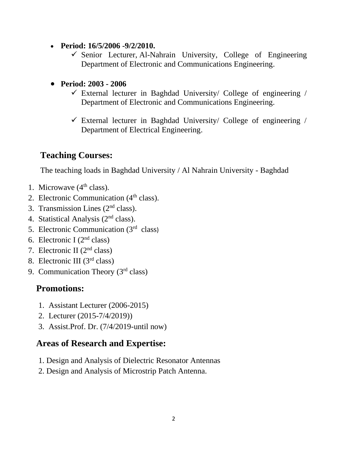- **Period: 16/5/2006 -9/2/2010.**
	- $\checkmark$  Senior Lecturer, Al-Nahrain University, College of Engineering Department of Electronic and Communications Engineering.
- **Period: 2003 - 2006**
	- $\checkmark$  External lecturer in Baghdad University/ College of engineering / Department of Electronic and Communications Engineering.
	- $\checkmark$  External lecturer in Baghdad University/ College of engineering / Department of Electrical Engineering.

# **Teaching Courses:**

The teaching loads in Baghdad University / Al Nahrain University - Baghdad

- 1. Microwave  $(4<sup>th</sup> class)$ .
- 2. Electronic Communication  $(4<sup>th</sup> class)$ .
- 3. Transmission Lines  $(2<sup>nd</sup> class)$ .
- 4. Statistical Analysis (2nd class).
- 5. Electronic Communication (3rd class)
- 6. Electronic I  $(2<sup>nd</sup> class)$
- 7. Electronic II (2nd class)
- 8. Electronic III (3rd class)
- 9. Communication Theory (3rd class)

# **Promotions:**

- 1. Assistant Lecturer (2006-2015)
- 2. Lecturer (2015-7/4/2019))
- 3. Assist.Prof. Dr. (7/4/2019-until now)

### **Areas of Research and Expertise:**

- 1. Design and Analysis of Dielectric Resonator Antennas
- 2. Design and Analysis of Microstrip Patch Antenna.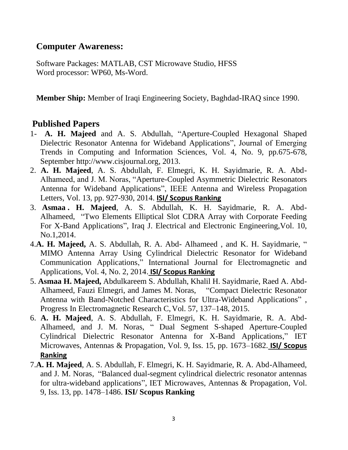#### **Computer Awareness:**

Software Packages: MATLAB, CST Microwave Studio, HFSS Word processor: WP60, Ms-Word.

**Member Ship:** Member of Iraqi Engineering Society, Baghdad-IRAQ since 1990.

### **Published Papers**

- 1- **A. H. Majeed** and A. S. Abdullah, "Aperture-Coupled Hexagonal Shaped Dielectric Resonator Antenna for Wideband Applications", Journal of Emerging Trends in Computing and Information Sciences, Vol. 4, No. 9, pp.675-678, September http://www.cisjournal.org, 2013.
- 2. **A. H. Majeed**, A. S. Abdullah, F. Elmegri, K. H. Sayidmarie, R. A. Abd-Alhameed, and J. M. Noras, "Aperture-Coupled Asymmetric Dielectric Resonators Antenna for Wideband Applications", IEEE Antenna and Wireless Propagation Letters, Vol. 13, pp. 927-930, 2014. **ISI/ Scopus Ranking**
- 3. **Asmaa . H. Majeed**, A. S. Abdullah, K. H. Sayidmarie, R. A. Abd-Alhameed, "Two Elements Elliptical Slot CDRA Array with Corporate Feeding For X-Band Applications", Iraq J. Electrical and Electronic Engineering,Vol. 10, No.1,2014.
- 4.**A. H. Majeed,** A. S. Abdullah, R. A. Abd- Alhameed , and K. H. Sayidmarie, " MIMO Antenna Array Using Cylindrical Dielectric Resonator for Wideband Communication Applications," International Journal for Electromagnetic and Applications, Vol. 4, No. 2, 2014. **ISI/ Scopus Ranking**
- 5. **Asmaa H. Majeed,** Abdulkareem S. Abdullah, Khalil H. Sayidmarie, Raed A. Abd-Alhameed, Fauzi Elmegri, and James M. Noras, "Compact Dielectric Resonator Antenna with Band-Notched Characteristics for Ultra-Wideband Applications" , Progress In Electromagnetic Research C,Vol. 57, 137–148, 2015.
- 6. **A. H. Majeed**, A. S. Abdullah, F. Elmegri, K. H. Sayidmarie, R. A. Abd-Alhameed, and J. M. Noras, " Dual Segment S-shaped Aperture-Coupled Cylindrical Dielectric Resonator Antenna for X-Band Applications," IET Microwaves, Antennas & Propagation, Vol. 9, Iss. 15, pp. 1673–1682. **ISI/ Scopus Ranking**
- 7.**A. H. Majeed**, A. S. Abdullah, F. Elmegri, K. H. Sayidmarie, R. A. Abd-Alhameed, and J. M. Noras, "Balanced dual-segment cylindrical dielectric resonator antennas for ultra-wideband applications", IET Microwaves, Antennas & Propagation, Vol. 9, Iss. 13, pp. 1478–1486. **ISI/ Scopus Ranking**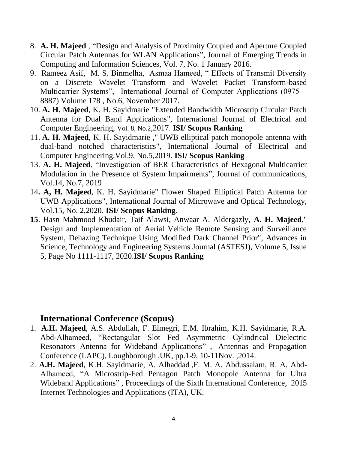- 8. **A. H. Majeed** , "Design and Analysis of Proximity Coupled and Aperture Coupled Circular Patch Antennas for WLAN Applications", Journal of Emerging Trends in Computing and Information Sciences, Vol. 7, No. 1 January 2016.
- 9. Rameez Asif, M. S. Binmelha, Asmaa Hameed, " Effects of Transmit Diversity on a Discrete Wavelet Transform and Wavelet Packet Transform-based Multicarrier Systems", International Journal of Computer Applications (0975 – 8887) Volume 178 , No.6, November 2017.
- 10. **A. H. Majeed**, K. H. Sayidmarie "Extended Bandwidth Microstrip Circular Patch Antenna for Dual Band Applications", International Journal of Electrical and Computer Engineering, Vol. 8, No.2,2017. **ISI/ Scopus Ranking**
- 11. **A. H. Majeed**, K. H. Sayidmarie ," UWB elliptical patch monopole antenna with dual-band notched characteristics", International Journal of Electrical and Computer Engineering,Vol.9, No.5,2019. **ISI/ Scopus Ranking**
- 13. **A. H. Majeed**, "Investigation of BER Characteristics of Hexagonal Multicarrier Modulation in the Presence of System Impairments", Journal of communications, Vol.14, No.7, 2019
- 14**. A, H. Majeed**, K. H. Sayidmarie" Flower Shaped Elliptical Patch Antenna for UWB Applications", International Journal of Microwave and Optical Technology, Vol.15, No. 2,2020. **ISI/ Scopus Ranking**.
- **15**. Hasn Mahmood Khudair, Taif Alawsi, Anwaar A. Aldergazly, **A. H. Majeed**," Design and Implementation of Aerial Vehicle Remote Sensing and Surveillance System, Dehazing Technique Using Modified Dark Channel Prior", Advances in Science, Technology and Engineering Systems Journal (ASTESJ), Volume 5, Issue 5, Page No 1111-1117, 2020.**ISI/ Scopus Ranking**

#### **International Conference (Scopus)**

- 1. **A.H. Majeed**, A.S. Abdullah, F. Elmegri, E.M. Ibrahim*,* K.H. Sayidmarie, R.A. Abd-Alhameed, "Rectangular Slot Fed Asymmetric Cylindrical Dielectric Resonators Antenna for Wideband Applications" , Antennas and Propagation Conference (LAPC), Loughborough ,UK, pp.1-9, 10-11Nov. ,2014.
- 2. **A.H. Majeed**, K.H. Sayidmarie, A. Alhaddad ,F. M. A. Abdussalam, R. A. Abd-Alhameed, "A Microstrip-Fed Pentagon Patch Monopole Antenna for Ultra Wideband Applications" , Proceedings of the Sixth International Conference, 2015 Internet Technologies and Applications (ITA), UK.